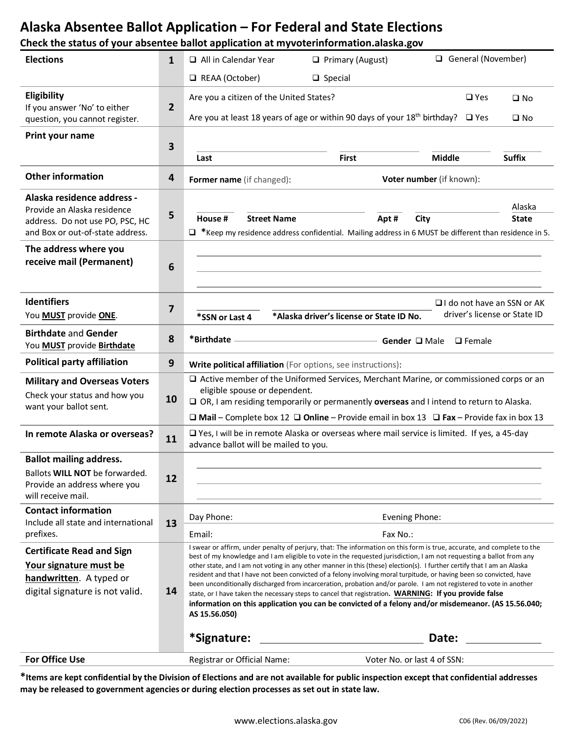### **Alaska Absentee Ballot Application – For Federal and State Elections**

#### **Check the status of your absentee ballot application at myvoterinformation.alaska.gov**

| <b>Elections</b>                                                                                                                 | 1            | General (November)<br>$\Box$ All in Calendar Year<br>$\Box$ Primary (August)                                                                                                                                                                                                                                                                                                                                                                                                                                                                                                                                                                                                                                                                                                                                                                             |                             |               |                        |
|----------------------------------------------------------------------------------------------------------------------------------|--------------|----------------------------------------------------------------------------------------------------------------------------------------------------------------------------------------------------------------------------------------------------------------------------------------------------------------------------------------------------------------------------------------------------------------------------------------------------------------------------------------------------------------------------------------------------------------------------------------------------------------------------------------------------------------------------------------------------------------------------------------------------------------------------------------------------------------------------------------------------------|-----------------------------|---------------|------------------------|
|                                                                                                                                  |              | REAA (October)                                                                                                                                                                                                                                                                                                                                                                                                                                                                                                                                                                                                                                                                                                                                                                                                                                           | $\Box$ Special              |               |                        |
| Eligibility<br>If you answer 'No' to either<br>question, you cannot register.                                                    | $\mathbf{2}$ | Are you a citizen of the United States?<br>$\square$ Yes<br>$\square$ No<br>Are you at least 18 years of age or within 90 days of your 18 <sup>th</sup> birthday?<br>$\square$ Yes<br>$\square$ No                                                                                                                                                                                                                                                                                                                                                                                                                                                                                                                                                                                                                                                       |                             |               |                        |
| Print your name                                                                                                                  | 3            | Last                                                                                                                                                                                                                                                                                                                                                                                                                                                                                                                                                                                                                                                                                                                                                                                                                                                     | <b>First</b>                | <b>Middle</b> | <b>Suffix</b>          |
| <b>Other information</b>                                                                                                         | 4            | Voter number (if known):<br>Former name (if changed):                                                                                                                                                                                                                                                                                                                                                                                                                                                                                                                                                                                                                                                                                                                                                                                                    |                             |               |                        |
| Alaska residence address -<br>Provide an Alaska residence<br>address. Do not use PO, PSC, HC<br>and Box or out-of-state address. | 5            | House #<br><b>Street Name</b><br>$\Box$ *Keep my residence address confidential. Mailing address in 6 MUST be different than residence in 5.                                                                                                                                                                                                                                                                                                                                                                                                                                                                                                                                                                                                                                                                                                             | Apt#                        | City          | Alaska<br><b>State</b> |
| The address where you<br>receive mail (Permanent)                                                                                | 6            |                                                                                                                                                                                                                                                                                                                                                                                                                                                                                                                                                                                                                                                                                                                                                                                                                                                          |                             |               |                        |
| <b>Identifiers</b><br>You MUST provide ONE.                                                                                      | 7            | $\Box$ I do not have an SSN or AK<br>driver's license or State ID<br>*Alaska driver's license or State ID No.<br>*SSN or Last 4                                                                                                                                                                                                                                                                                                                                                                                                                                                                                                                                                                                                                                                                                                                          |                             |               |                        |
| <b>Birthdate and Gender</b><br>You <b>MUST</b> provide <b>Birthdate</b>                                                          | 8            | *Birthdate<br>Gender Q Male<br>$\Box$ Female                                                                                                                                                                                                                                                                                                                                                                                                                                                                                                                                                                                                                                                                                                                                                                                                             |                             |               |                        |
| <b>Political party affiliation</b>                                                                                               | 9            | Write political affiliation (For options, see instructions):                                                                                                                                                                                                                                                                                                                                                                                                                                                                                                                                                                                                                                                                                                                                                                                             |                             |               |                        |
| <b>Military and Overseas Voters</b><br>Check your status and how you<br>want your ballot sent.                                   | 10           | □ Active member of the Uniformed Services, Merchant Marine, or commissioned corps or an<br>eligible spouse or dependent.<br>$\square$ OR, I am residing temporarily or permanently overseas and I intend to return to Alaska.<br>$\Box$ Mail – Complete box 12 $\Box$ Online – Provide email in box 13 $\Box$ Fax – Provide fax in box 13                                                                                                                                                                                                                                                                                                                                                                                                                                                                                                                |                             |               |                        |
| In remote Alaska or overseas?                                                                                                    | 11           | □ Yes, I will be in remote Alaska or overseas where mail service is limited. If yes, a 45-day<br>advance ballot will be mailed to you.                                                                                                                                                                                                                                                                                                                                                                                                                                                                                                                                                                                                                                                                                                                   |                             |               |                        |
| <b>Ballot mailing address.</b><br>Ballots WILL NOT be forwarded.<br>Provide an address where you<br>will receive mail.           | 12           |                                                                                                                                                                                                                                                                                                                                                                                                                                                                                                                                                                                                                                                                                                                                                                                                                                                          |                             |               |                        |
| <b>Contact information</b><br>Include all state and international<br>prefixes.                                                   | 13           | Day Phone:<br>Email:                                                                                                                                                                                                                                                                                                                                                                                                                                                                                                                                                                                                                                                                                                                                                                                                                                     | Evening Phone:<br>Fax No.:  |               |                        |
| <b>Certificate Read and Sign</b><br>Your signature must be<br>handwritten. A typed or<br>digital signature is not valid.         | 14           | I swear or affirm, under penalty of perjury, that: The information on this form is true, accurate, and complete to the<br>best of my knowledge and I am eligible to vote in the requested jurisdiction, I am not requesting a ballot from any<br>other state, and I am not voting in any other manner in this (these) election(s). I further certify that I am an Alaska<br>resident and that I have not been convicted of a felony involving moral turpitude, or having been so convicted, have<br>been unconditionally discharged from incarceration, probation and/or parole. I am not registered to vote in another<br>state, or I have taken the necessary steps to cancel that registration. WARNING: If you provide false<br>information on this application you can be convicted of a felony and/or misdemeanor. (AS 15.56.040;<br>AS 15.56.050) |                             |               |                        |
|                                                                                                                                  |              | *Signature:                                                                                                                                                                                                                                                                                                                                                                                                                                                                                                                                                                                                                                                                                                                                                                                                                                              |                             | Date:         |                        |
| <b>For Office Use</b>                                                                                                            |              | Registrar or Official Name:                                                                                                                                                                                                                                                                                                                                                                                                                                                                                                                                                                                                                                                                                                                                                                                                                              | Voter No. or last 4 of SSN: |               |                        |

**\*Items are kept confidential by the Division of Elections and are not available for public inspection except that confidential addresses may be released to government agencies or during election processes as set out in state law.**